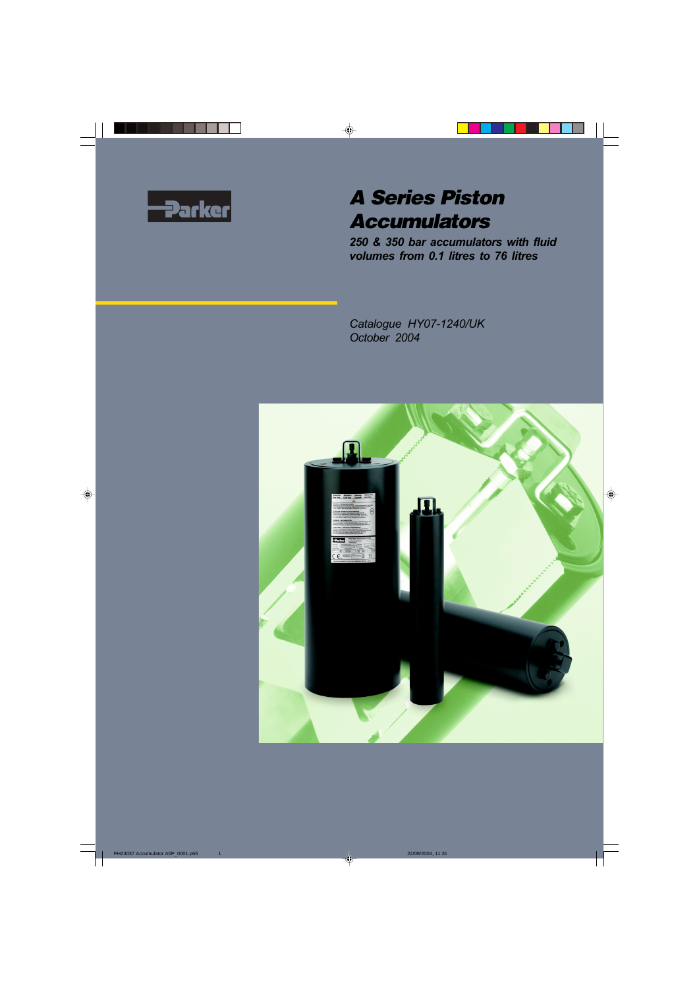

# **A Series Piston Accumulators**

*250 & 350 bar accumulators with fluid volumes from 0.1 litres to 76 litres*

*Catalogue HY07-1240/UK October 2004*

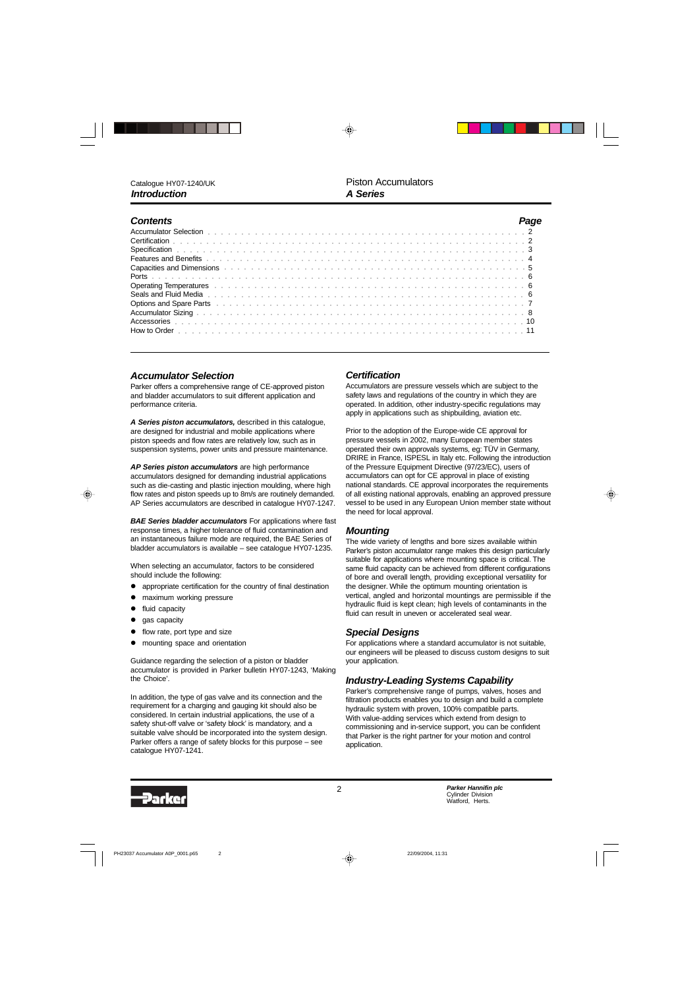| <b>Contents</b>                                                                                                                                                                                                                      |  |
|--------------------------------------------------------------------------------------------------------------------------------------------------------------------------------------------------------------------------------------|--|
|                                                                                                                                                                                                                                      |  |
|                                                                                                                                                                                                                                      |  |
|                                                                                                                                                                                                                                      |  |
|                                                                                                                                                                                                                                      |  |
| Capacities and Dimensions (excession of the contract of the contract of the contract of the contract of the contract of the contract of the contract of the contract of the contract of the contract of the contract of the co       |  |
|                                                                                                                                                                                                                                      |  |
|                                                                                                                                                                                                                                      |  |
|                                                                                                                                                                                                                                      |  |
| Options and Spare Parts <b>expansion and the Control</b> t of the control of the control of the control of the control of the control of the control of the control of the control of the control of the control of the control of t |  |
|                                                                                                                                                                                                                                      |  |
|                                                                                                                                                                                                                                      |  |
|                                                                                                                                                                                                                                      |  |

#### *Accumulator Selection*

Parker offers a comprehensive range of CE-approved piston and bladder accumulators to suit different application and performance criteria.

*A Series piston accumulators,* described in this catalogue, are designed for industrial and mobile applications where piston speeds and flow rates are relatively low, such as in suspension systems, power units and pressure maintenance.

*AP Series piston accumulators* are high performance accumulators designed for demanding industrial applications such as die-casting and plastic injection moulding, where high flow rates and piston speeds up to 8m/s are routinely demanded. AP Series accumulators are described in catalogue HY07-1247.

*BAE Series bladder accumulators* For applications where fast response times, a higher tolerance of fluid contamination and an instantaneous failure mode are required, the BAE Series of bladder accumulators is available – see catalogue HY07-1235.

When selecting an accumulator, factors to be considered should include the following:

- appropriate certification for the country of final destination
- maximum working pressure
- fluid capacity
- $\bullet$  gas capacity
- flow rate, port type and size
- mounting space and orientation

Guidance regarding the selection of a piston or bladder accumulator is provided in Parker bulletin HY07-1243, 'Making the Choice'.

In addition, the type of gas valve and its connection and the requirement for a charging and gauging kit should also be considered. In certain industrial applications, the use of a safety shut-off valve or 'safety block' is mandatory, and a suitable valve should be incorporated into the system design. Parker offers a range of safety blocks for this purpose – see catalogue HY07-1241.

#### *Certification*

Accumulators are pressure vessels which are subject to the safety laws and regulations of the country in which they are operated. In addition, other industry-specific regulations may apply in applications such as shipbuilding, aviation etc.

Prior to the adoption of the Europe-wide CE approval for pressure vessels in 2002, many European member states operated their own approvals systems, eg: TÜV in Germany, DRIRE in France, ISPESL in Italy etc. Following the introduction of the Pressure Equipment Directive (97/23/EC), users of accumulators can opt for CE approval in place of existing national standards. CE approval incorporates the requirements of all existing national approvals, enabling an approved pressure vessel to be used in any European Union member state without the need for local approval.

### *Mounting*

The wide variety of lengths and bore sizes available within Parker's piston accumulator range makes this design particularly suitable for applications where mounting space is critical. The same fluid capacity can be achieved from different configurations of bore and overall length, providing exceptional versatility for the designer. While the optimum mounting orientation is vertical, angled and horizontal mountings are permissible if the hydraulic fluid is kept clean; high levels of contaminants in the fluid can result in uneven or accelerated seal wear.

### *Special Designs*

For applications where a standard accumulator is not suitable, our engineers will be pleased to discuss custom designs to suit your application.

### *Industry-Leading Systems Capability*

Parker's comprehensive range of pumps, valves, hoses and filtration products enables you to design and build a complete hydraulic system with proven, 100% compatible parts. With value-adding services which extend from design to commissioning and in-service support, you can be confident that Parker is the right partner for your motion and control application.

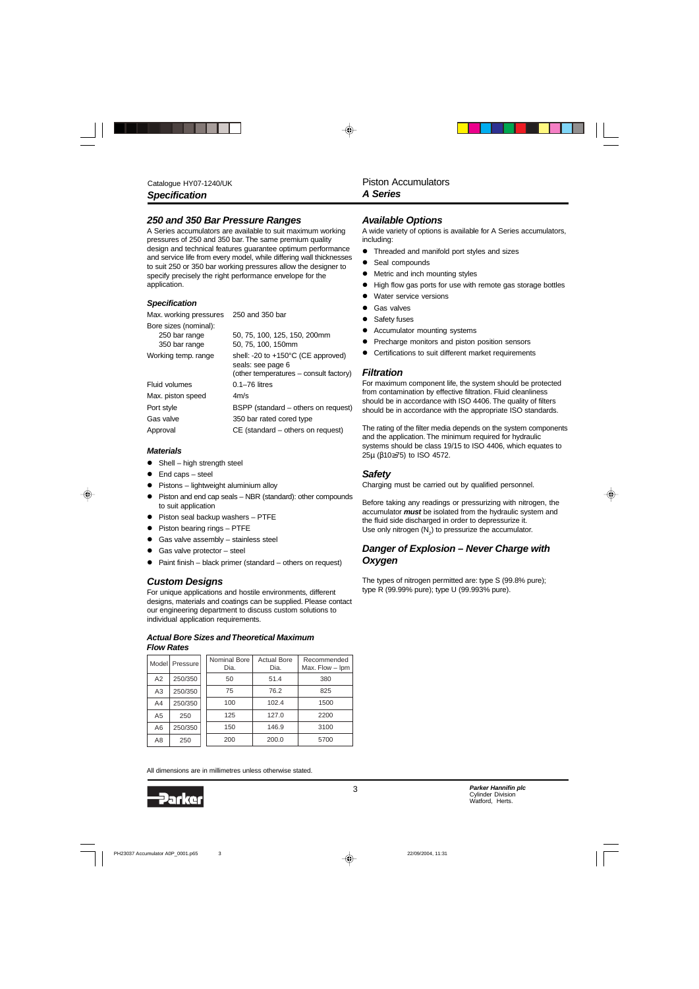### *250 and 350 Bar Pressure Ranges*

A Series accumulators are available to suit maximum working pressures of 250 and 350 bar. The same premium quality design and technical features guarantee optimum performance and service life from every model, while differing wall thicknesses to suit 250 or 350 bar working pressures allow the designer to specify precisely the right performance envelope for the application.

#### *Specification*

Max. working pressures 250 and 350 bar

| Bore sizes (nominal):<br>250 bar range<br>350 bar range | 50, 75, 100, 125, 150, 200mm<br>50, 75, 100, 150mm                |
|---------------------------------------------------------|-------------------------------------------------------------------|
|                                                         |                                                                   |
| Working temp. range                                     | shell: -20 to $+150^{\circ}$ C (CE approved)<br>seals: see page 6 |
|                                                         | (other temperatures – consult factory)                            |
| <b>Fluid volumes</b>                                    | $0.1 - 76$ litres                                                 |
| Max. piston speed                                       | 4m/s                                                              |
| Port style                                              | BSPP (standard – others on request)                               |
| Gas valve                                               | 350 bar rated cored type                                          |
| Approval                                                | $CE$ (standard $-$ others on request)                             |

#### *Materials*

- $\bullet$  Shell high strength steel
- $\bullet$  End caps steel
- $\bullet$  Pistons lightweight aluminium alloy
- Piston and end cap seals NBR (standard): other compounds to suit application
- $\bullet$  Piston seal backup washers PTFE
- Piston bearing rings PTFE
- $\bullet$  Gas valve assembly stainless steel
- $\bullet$  Gas valve protector steel
- $\bullet$  Paint finish black primer (standard others on request)

### *Custom Designs*

For unique applications and hostile environments, different designs, materials and coatings can be supplied. Please contact our engineering department to discuss custom solutions to individual application requirements.

#### *Actual Bore Sizes and Theoretical Maximum Flow Rates*

|                | Model Pressure | <b>Nominal Bore</b><br>Dia. | <b>Actual Bore</b><br>Dia. | Recommended<br>Max. Flow - Ipm |
|----------------|----------------|-----------------------------|----------------------------|--------------------------------|
| A2             | 250/350        | 50                          | 51.4                       | 380                            |
| A3             | 250/350        | 75                          | 76.2                       | 825                            |
| A4             | 250/350        | 100                         | 102.4                      | 1500                           |
| A <sub>5</sub> | 250            | 125                         | 127.0                      | 2200                           |
| A6             | 250/350        | 150                         | 146.9                      | 3100                           |
| A8             | 250            | 200                         | 200.0                      | 5700                           |

All dimensions are in millimetres unless otherwise stated.



### *Available Options*

A wide variety of options is available for A Series accumulators, including:

- **•** Threaded and manifold port styles and sizes
- Seal compounds
- Metric and inch mounting styles
- High flow gas ports for use with remote gas storage bottles
- Water service versions
- **•** Gas valves
- Safety fuses
- Accumulator mounting systems
- Precharge monitors and piston position sensors
- **•** Certifications to suit different market requirements

#### *Filtration*

For maximum component life, the system should be protected from contamination by effective filtration. Fluid cleanliness should be in accordance with ISO 4406. The quality of filters should be in accordance with the appropriate ISO standards.

The rating of the filter media depends on the system components and the application. The minimum required for hydraulic systems should be class 19/15 to ISO 4406, which equates to 25µ (β10≥75) to ISO 4572.

#### *Safety*

Charging must be carried out by qualified personnel.

Before taking any readings or pressurizing with nitrogen, the accumulator *must* be isolated from the hydraulic system and the fluid side discharged in order to depressurize it. Use only nitrogen  $(N_2)$  to pressurize the accumulator.

### *Danger of Explosion – Never Charge with Oxygen*

The types of nitrogen permitted are: type S (99.8% pure); type R (99.99% pure); type U (99.993% pure).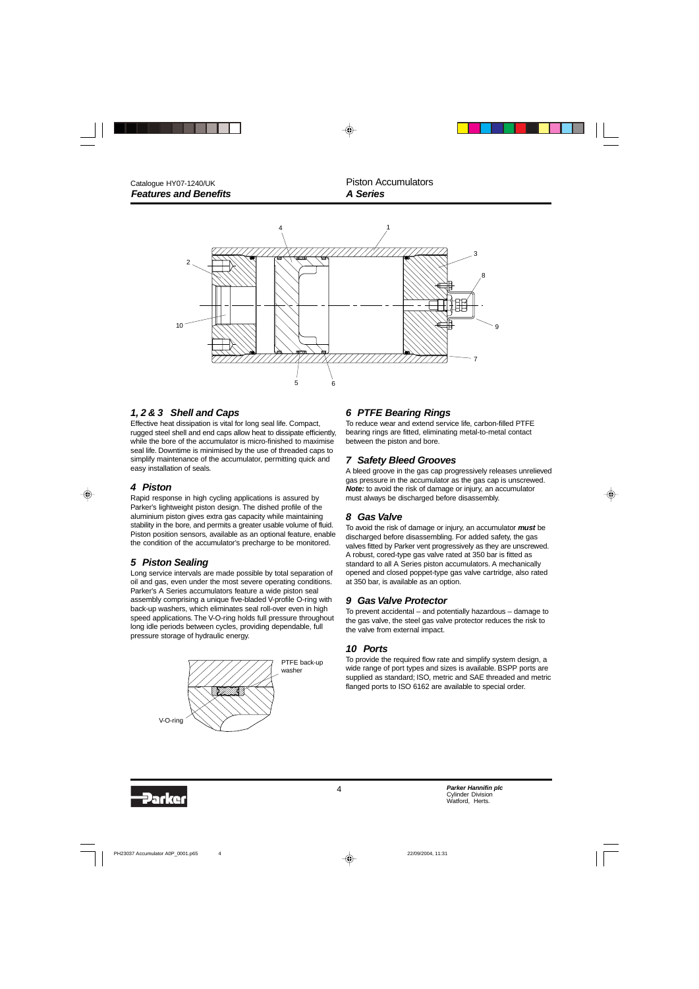

### *1, 2 & 3 Shell and Caps*

Effective heat dissipation is vital for long seal life. Compact, rugged steel shell and end caps allow heat to dissipate efficiently, while the bore of the accumulator is micro-finished to maximise seal life. Downtime is minimised by the use of threaded caps to simplify maintenance of the accumulator, permitting quick and easy installation of seals.

#### *4 Piston*

Rapid response in high cycling applications is assured by Parker's lightweight piston design. The dished profile of the aluminium piston gives extra gas capacity while maintaining stability in the bore, and permits a greater usable volume of fluid. Piston position sensors, available as an optional feature, enable the condition of the accumulator's precharge to be monitored.

### *5 Piston Sealing*

Long service intervals are made possible by total separation of oil and gas, even under the most severe operating conditions. Parker's A Series accumulators feature a wide piston seal assembly comprising a unique five-bladed V-profile O-ring with back-up washers, which eliminates seal roll-over even in high speed applications. The V-O-ring holds full pressure throughout long idle periods between cycles, providing dependable, full pressure storage of hydraulic energy.



### *6 PTFE Bearing Rings*

To reduce wear and extend service life, carbon-filled PTFE bearing rings are fitted, eliminating metal-to-metal contact between the piston and bore.

#### *7 Safety Bleed Grooves*

A bleed groove in the gas cap progressively releases unrelieved gas pressure in the accumulator as the gas cap is unscrewed. *Note:* to avoid the risk of damage or injury, an accumulator must always be discharged before disassembly.

#### *8 Gas Valve*

To avoid the risk of damage or injury, an accumulator *must* be discharged before disassembling. For added safety, the gas valves fitted by Parker vent progressively as they are unscrewed. A robust, cored-type gas valve rated at 350 bar is fitted as standard to all A Series piston accumulators. A mechanically opened and closed poppet-type gas valve cartridge, also rated at 350 bar, is available as an option.

### *9 Gas Valve Protector*

To prevent accidental – and potentially hazardous – damage to the gas valve, the steel gas valve protector reduces the risk to the valve from external impact.

### *10 Ports*

To provide the required flow rate and simplify system design, a wide range of port types and sizes is available. BSPP ports are supplied as standard; ISO, metric and SAE threaded and metric flanged ports to ISO 6162 are available to special order.

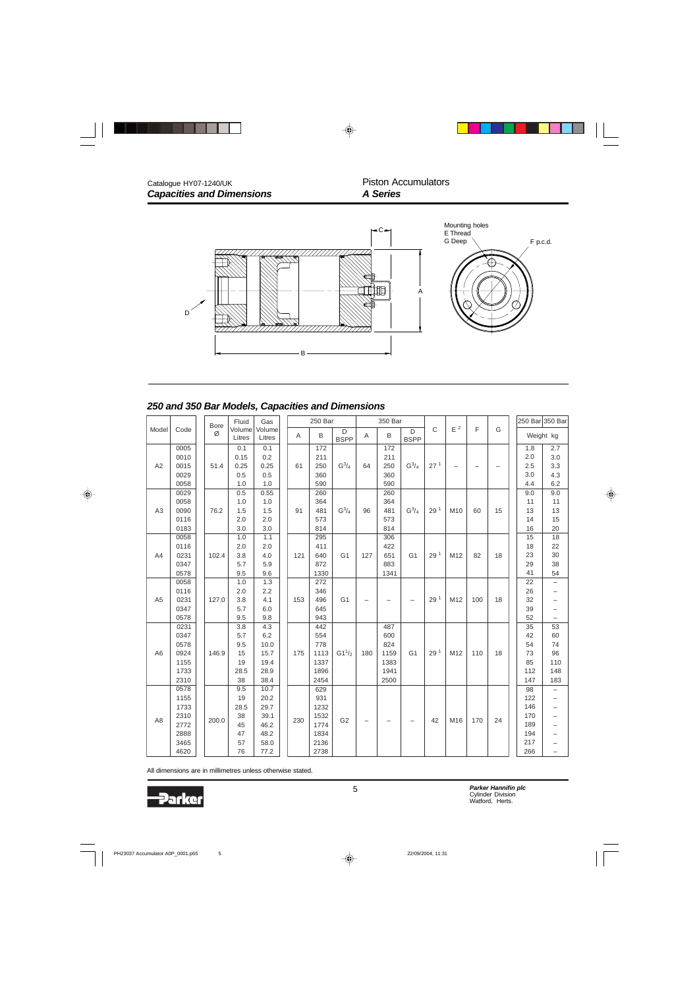

### *250 and 350 Bar Models, Capacities and Dimensions*

|                |              | <b>Bore</b> | Fluid            | Gas              |     | 250 Bar    |                  |                          | 350 Bar |                  |                 |                   |     |    |          | 250 Bar 350 Bar          |
|----------------|--------------|-------------|------------------|------------------|-----|------------|------------------|--------------------------|---------|------------------|-----------------|-------------------|-----|----|----------|--------------------------|
| Model          | Code         | Ø           | Volume<br>Litres | Volume<br>Litres | A   | B          | D<br><b>BSPP</b> | A                        | B       | D<br><b>BSPP</b> | C               | $\mathsf{E}$ $^2$ | F   | G  |          | Weight kg                |
|                | 0005         |             | 0.1              | 0.1              |     | 172        |                  |                          | 172     |                  |                 |                   |     |    | 1.8      | 2.7                      |
|                | 0010         |             | 0.15             | 0.2              |     | 211        |                  |                          | 211     |                  |                 |                   |     |    | 2.0      | 3.0                      |
| A2             | 0015         | 51.4        | 0.25             | 0.25             | 61  | 250        | $G^3/4$          | 64                       | 250     | $G^3/4$          | 27 <sup>1</sup> |                   |     |    | 2.5      | 3.3                      |
|                | 0029         |             | 0.5              | 0.5              |     | 360        |                  |                          | 360     |                  |                 |                   |     |    | 3.0      | 4.3                      |
|                | 0058         |             | 1.0              | 1.0              |     | 590        |                  |                          | 590     |                  |                 |                   |     |    | 4.4      | 6.2                      |
|                | 0029         |             | 0.5              | 0.55             |     | 260        |                  |                          | 260     |                  |                 |                   |     |    | 9.0      | 9.0                      |
|                | 0058         |             | 1.0              | 1.0              |     | 364        |                  |                          | 364     |                  |                 |                   |     |    | 11       | 11                       |
| A3             | 0090         | 76.2        | 1.5              | 1.5              | 91  | 481        | $G^3/4$          | 96                       | 481     | $G^3/4$          | 29 <sup>1</sup> | M10               | 60  | 15 | 13       | 13                       |
|                | 0116         |             | 2.0              | 2.0              |     | 573        |                  |                          | 573     |                  |                 |                   |     |    | 14       | 15                       |
|                | 0183         |             | 3.0              | 3.0              |     | 814        |                  |                          | 814     |                  |                 |                   |     |    | 16       | 20                       |
|                | 0058         |             | 1.0              | 1.1              |     | 295        |                  |                          | 306     |                  |                 |                   |     |    | 15       | 18                       |
|                | 0116         |             | 2.0              | 2.0              |     | 411        |                  |                          | 422     |                  |                 |                   |     |    | 18       | 22                       |
| A4             | 0231         | 102.4       | 3.8              | 4.0              | 121 | 640        | G <sub>1</sub>   | 127                      | 651     | G <sub>1</sub>   | 29 <sup>1</sup> | M12               | 82  | 18 | 23       | 30                       |
|                | 0347         |             | 5.7              | 5.9              |     | 872        |                  |                          | 883     |                  |                 |                   |     |    | 29       | 38                       |
|                | 0578         |             | 9.5              | 9.6              |     | 1330       |                  |                          | 1341    |                  |                 |                   |     |    | 41       | 54                       |
|                | 0058         |             | 1.0              | 1.3              |     | 272        |                  |                          |         |                  |                 |                   |     |    | 22       | $\qquad \qquad -$        |
| A <sub>5</sub> | 0116<br>0231 |             | 2.0<br>3.8       | 2.2<br>4.1       |     | 346<br>496 | G <sub>1</sub>   |                          |         |                  | 29 <sup>1</sup> | M12               | 100 | 18 | 26<br>32 | $\qquad \qquad -$        |
|                | 0347         | 127.0       | 5.7              | 6.0              | 153 | 645        |                  |                          |         |                  |                 |                   |     |    |          | $\overline{\phantom{0}}$ |
|                | 0578         |             | 9.5              | 9.8              |     | 943        |                  |                          |         |                  |                 |                   |     |    | 39<br>52 | -                        |
|                | 0231         |             | 3.8              | 4.3              |     | 442        |                  |                          | 487     |                  |                 |                   |     |    | 35       | 53                       |
|                | 0347         |             | 5.7              | 6.2              |     | 554        |                  |                          | 600     |                  |                 |                   |     |    | 42       | 60                       |
|                | 0578         |             | 9.5              | 10.0             |     | 778        |                  |                          | 824     |                  |                 |                   |     |    | 54       | 74                       |
| A <sub>6</sub> | 0924         | 146.9       | 15               | 15.7             | 175 | 1113       | $G1^{1/2}$       | 180                      | 1159    | G <sub>1</sub>   | 29 <sup>1</sup> | M12               | 110 | 18 | 73       | 96                       |
|                | 1155         |             | 19               | 19.4             |     | 1337       |                  |                          | 1383    |                  |                 |                   |     |    | 85       | 110                      |
|                | 1733         |             | 28.5             | 28.9             |     | 1896       |                  |                          | 1941    |                  |                 |                   |     |    | 112      | 148                      |
|                | 2310         |             | 38               | 38.4             |     | 2454       |                  |                          | 2500    |                  |                 |                   |     |    | 147      | 183                      |
|                | 0578         |             | 9.5              | 10.7             |     | 629        |                  |                          |         |                  |                 |                   |     |    | 98       | $\overline{\phantom{0}}$ |
|                | 1155         |             | 19               | 20.2             |     | 931        |                  |                          |         |                  |                 |                   |     |    | 122      | -                        |
|                | 1733         |             | 28.5             | 29.7             |     | 1232       |                  |                          |         |                  |                 |                   |     |    | 146      |                          |
|                | 2310         |             | 38               | 39.1             |     | 1532       |                  |                          |         |                  |                 |                   |     |    | 170      |                          |
| A <sub>8</sub> | 2772         | 200.0       | 45               | 46.2             | 230 | 1774       | G <sub>2</sub>   | $\overline{\phantom{0}}$ |         |                  | 42              | M16               | 170 | 24 | 189      |                          |
|                | 2888         |             | 47               | 48.2             |     | 1834       |                  |                          |         |                  |                 |                   |     |    | 194      |                          |
|                | 3465         |             | 57               | 58.0             |     | 2136       |                  |                          |         |                  |                 |                   |     |    | 217      |                          |
|                | 4620         |             | 76               | 77.2             |     | 2738       |                  |                          |         |                  |                 |                   |     |    | 266      | $\overline{\phantom{0}}$ |

All dimensions are in millimetres unless otherwise stated.

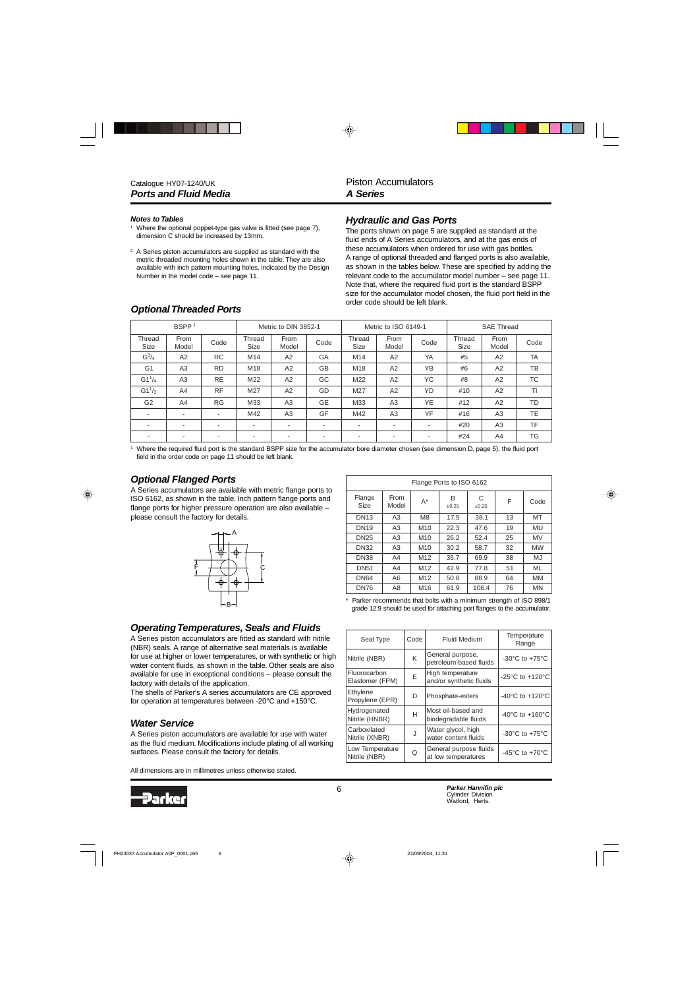#### *Notes to Tables*

- <sup>1</sup> Where the optional poppet-type gas valve is fitted (see page 7), dimension C should be increased by 13mm.
- <sup>2</sup> A Series piston accumulators are supplied as standard with the metric threaded mounting holes shown in the table. They are also available with inch pattern mounting holes, indicated by the Design Number in the model code – see page 11.

# *Optional Threaded Ports*

### *Hydraulic and Gas Ports*

The ports shown on page 5 are supplied as standard at the fluid ends of A Series accumulators, and at the gas ends of these accumulators when ordered for use with gas bottles. A range of optional threaded and flanged ports is also available, as shown in the tables below. These are specified by adding the relevant code to the accumulator model number – see page 11. Note that, where the required fluid port is the standard BSPP size for the accumulator model chosen, the fluid port field in the order code should be left blank.

|                          | BSPP <sup>1</sup><br>Metric to DIN 3852-1 |           |                       |                          | Metric to ISO 6149-1     |                          |                | <b>SAE Thread</b> |                |               |           |
|--------------------------|-------------------------------------------|-----------|-----------------------|--------------------------|--------------------------|--------------------------|----------------|-------------------|----------------|---------------|-----------|
| Thread<br>Size           | From<br>Model                             | Code      | Thread<br><b>Size</b> | From<br>Model            | Code                     | Thread<br><b>Size</b>    | From<br>Model  | Code              | Thread<br>Size | From<br>Model | Code      |
| $G^3/4$                  | A2                                        | <b>RC</b> | M14                   | A <sub>2</sub>           | GA                       | M14                      | A2             | YA                | #5             | A2            | <b>TA</b> |
| G <sub>1</sub>           | A3                                        | <b>RD</b> | M18                   | A2                       | <b>GB</b>                | M18                      | A2             | YB                | #6             | A2            | TB        |
| $G1^{1}/4$               | A3                                        | <b>RE</b> | M22                   | A2                       | GC                       | M22                      | A2             | YC.               | #8             | A2            | <b>TC</b> |
| $G1^{1/2}$               | A4                                        | <b>RF</b> | M27                   | A2                       | GD                       | M27                      | A2             | YD                | #10            | A2            | ΤI        |
| G <sub>2</sub>           | A4                                        | <b>RG</b> | M33                   | A3                       | <b>GE</b>                | M33                      | A <sub>3</sub> | <b>YE</b>         | #12            | A2            | TD        |
| $\overline{\phantom{a}}$ | ۰.                                        | ۰         | M42                   | A3                       | GF                       | M42                      | A3             | <b>YF</b>         | #16            | A3            | TE        |
| $\overline{\phantom{a}}$ | -                                         |           | ٠                     | $\overline{\phantom{a}}$ | $\overline{\phantom{a}}$ | $\overline{\phantom{a}}$ |                | ٠                 | #20            | A3            | TF        |
| ۰                        | ۰.                                        |           |                       | ۰                        | $\overline{\phantom{a}}$ | $\overline{\phantom{a}}$ |                | ٠                 | #24            | A4            | TG        |

<sup>1</sup> Where the required fluid port is the standard BSPP size for the accumulator bore diameter chosen (see dimension D, page 5), the fluid port field in the order code on page 11 should be left blank.

### *Optional Flanged Ports*

A Series accumulators are available with metric flange ports to ISO 6162, as shown in the table. Inch pattern flange ports and flange ports for higher pressure operation are also available – please consult the factory for details.



| Flange Ports to ISO 6162 |                |                 |            |            |    |           |  |  |  |
|--------------------------|----------------|-----------------|------------|------------|----|-----------|--|--|--|
| Flange<br>Size           | From<br>Model  | $A^*$           | B<br>±0.25 | C<br>±0.25 | F  | Code      |  |  |  |
| <b>DN13</b>              | A3             | M <sub>8</sub>  | 17.5       | 38.1       | 13 | MT        |  |  |  |
| <b>DN19</b>              | A3             | M <sub>10</sub> | 22.3       | 47.6       | 19 | MU        |  |  |  |
| <b>DN25</b>              | A <sub>3</sub> | M <sub>10</sub> | 26.2       | 52.4       | 25 | <b>MV</b> |  |  |  |
| <b>DN32</b>              | A <sub>3</sub> | M <sub>10</sub> | 30.2       | 58.7       | 32 | <b>MW</b> |  |  |  |
| <b>DN38</b>              | A4             | M <sub>12</sub> | 35.7       | 69.9       | 38 | MJ        |  |  |  |
| <b>DN51</b>              | A4             | M <sub>12</sub> | 42.9       | 77.8       | 51 | ML        |  |  |  |
| <b>DN64</b>              | A <sub>6</sub> | M <sub>12</sub> | 50.8       | 88.9       | 64 | <b>MM</b> |  |  |  |
| <b>DN76</b>              | A8             | M16             | 61.9       | 106.4      | 76 | <b>MN</b> |  |  |  |

\* Parker recommends that bolts with a minimum strength of ISO 898/1 grade 12.9 should be used for attaching port flanges to the accumulator.

 $\begin{array}{c|c|c|c|c} \text{Seal Type} & \text{Code} & \text{Fluid Medium} & \text{Temperature} \end{array}$ 

Fluorocarbon<br>Elastomer (FPM) E | High temperature | -25°C to +120°C

Etrivierie<br>Propylene (EPR) D Phosphate-esters -40°C to +120°C

Hydrogenated H Most oil-based and -40°C to +160°C<br>Nitrile (HNBR) H biodegradable fluids

 $\circ$  General purpose fluids

General purpose,<br>petroleum-based fluids  $\Big|$  -30°C to +75°C

vvater glycol, nigh<br>water content fluids  $\vert$  -30°C to +75°C

Serieral purpose fights  $-45^{\circ}$ C to +70<sup>°</sup>C

Nitrile (NBR)  $\begin{array}{|c|c|c|c|c|c|}\n\hline\n\end{array}$  K  $\begin{array}{|c|c|c|c|c|}\n\hline\n\end{array}$  General purpose,

Carboxilated **J** Water glycol, high<br>Nitrile (XNBR) J water content fluid

Fluorocarbon

Hydrogenated

**Carboxilated** 

Low Temperature<br>Nitrile (NBR)

Ethylene

Range

### *Operating Temperatures, Seals and Fluids*

A Series piston accumulators are fitted as standard with nitrile (NBR) seals. A range of alternative seal materials is available for use at higher or lower temperatures, or with synthetic or high water content fluids, as shown in the table. Other seals are also available for use in exceptional conditions – please consult the factory with details of the application.

The shells of Parker's A series accumulators are CE approved for operation at temperatures between -20°C and +150°C.

### *Water Service*

A Series piston accumulators are available for use with water as the fluid medium. Modifications include plating of all working surfaces. Please consult the factory for details.

All dimensions are in millimetres unless otherwise stated.

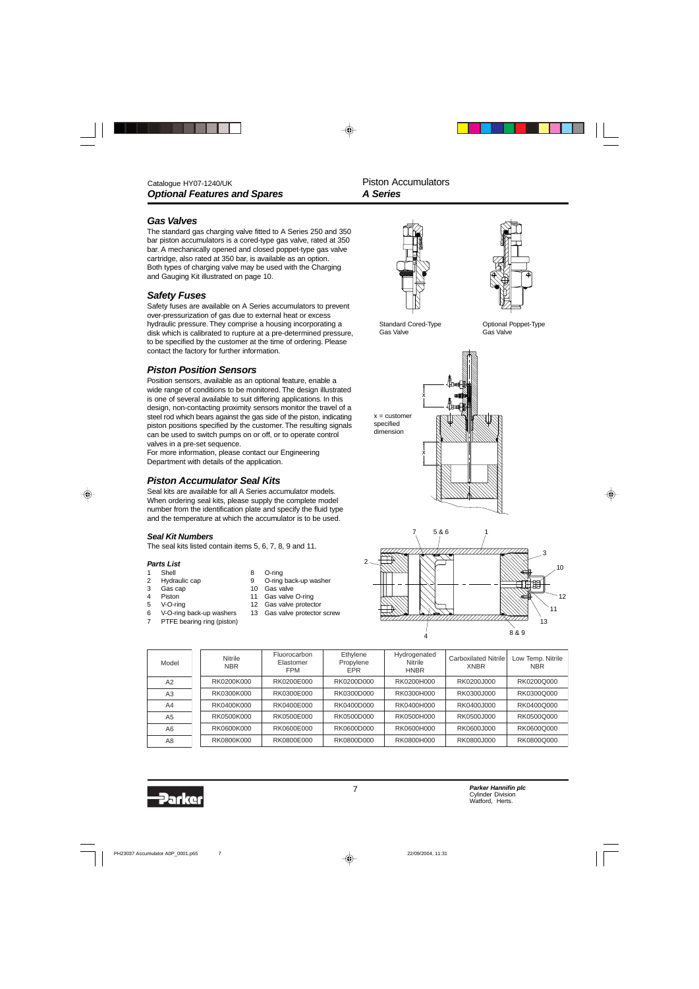### *Gas Valves*

The standard gas charging valve fitted to A Series 250 and 350 bar piston accumulators is a cored-type gas valve, rated at 350 bar. A mechanically opened and closed poppet-type gas valve cartridge, also rated at 350 bar, is available as an option. Both types of charging valve may be used with the Charging and Gauging Kit illustrated on page 10.

## *Safety Fuses*

Safety fuses are available on A Series accumulators to prevent over-pressurization of gas due to external heat or excess hydraulic pressure. They comprise a housing incorporating a disk which is calibrated to rupture at a pre-determined pressure, to be specified by the customer at the time of ordering. Please contact the factory for further information.

### *Piston Position Sensors*

Position sensors, available as an optional feature, enable a wide range of conditions to be monitored. The design illustrated is one of several available to suit differing applications. In this design, non-contacting proximity sensors monitor the travel of a steel rod which bears against the gas side of the piston, indicating piston positions specified by the customer. The resulting signals can be used to switch pumps on or off, or to operate control valves in a pre-set sequence.

For more information, please contact our Engineering Department with details of the application.

### *Piston Accumulator Seal Kits*

Seal kits are available for all A Series accumulator models. When ordering seal kits, please supply the complete model number from the identification plate and specify the fluid type and the temperature at which the accumulator is to be used.

#### *Seal Kit Numbers*

The seal kits listed contain items 5, 6, 7, 8, 9 and 11.

#### *Parts List*

- 1 Shell 8 O-ring
- 
- 
- 
- 6 V-O-ring back-up washers 13 Gas valve protector screw
- 7 PTFE bearing ring (piston)
- 
- 2 Hydraulic cap 9 O-ring back-up washer
- 3 Gas cap 10 Gas valve<br>4 Piston 11 Gas valve 11 Gas valve O-ring
- 5 V-O-ring 12 Gas valve protector
	-



Optional Poppet-Type

Gas Valve

Standard Cored-Type Gas Valve





| Model          | Nitrile<br><b>NBR</b> | Fluorocarbon<br>Elastomer<br><b>FPM</b> | Ethylene<br>Propylene<br><b>EPR</b> | Hydrogenated<br>Nitrile<br><b>HNBR</b> | Carboxilated Nitrile<br><b>XNBR</b> | Low Temp. Nitrile<br><b>NBR</b> |
|----------------|-----------------------|-----------------------------------------|-------------------------------------|----------------------------------------|-------------------------------------|---------------------------------|
| A2             | RK0200K000            | RK0200E000                              | RK0200D000                          | RK0200H000                             | RK0200J000                          | RK0200Q000                      |
| A3             | RK0300K000            | RK0300E000                              | RK0300D000                          | RK0300H000                             | RK0300J000                          | RK0300Q000                      |
| A4             | RK0400K000            | RK0400E000                              | RK0400D000                          | RK0400H000                             | RK0400J000                          | RK0400Q000                      |
| A <sub>5</sub> | RK0500K000            | RK0500E000                              | RK0500D000                          | RK0500H000                             | RK0500J000                          | RK0500Q000                      |
| A6             | RK0600K000            | RK0600E000                              | RK0600D000                          | RK0600H000                             | RK0600J000                          | RK0600Q000                      |
| A8             | RK0800K000            | RK0800E000                              | RK0800D000                          | RK0800H000                             | RK0800J000                          | RK0800Q000                      |

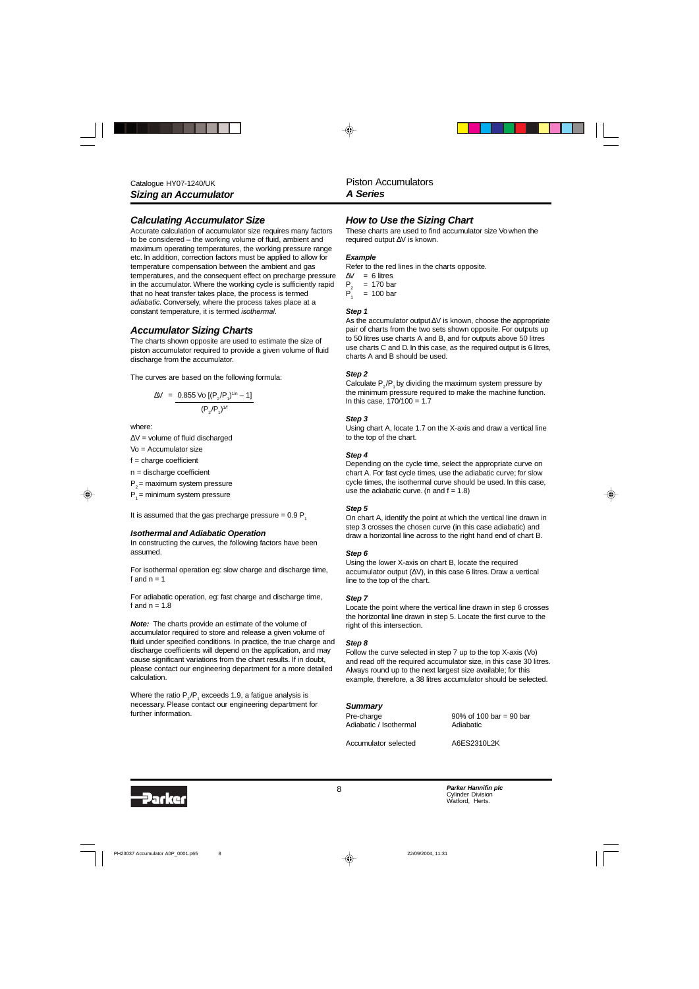### *Calculating Accumulator Size*

Accurate calculation of accumulator size requires many factors to be considered – the working volume of fluid, ambient and maximum operating temperatures, the working pressure range etc. In addition, correction factors must be applied to allow for temperature compensation between the ambient and gas temperatures, and the consequent effect on precharge pressure in the accumulator. Where the working cycle is sufficiently rapid that no heat transfer takes place, the process is termed *adiabatic*. Conversely, where the process takes place at a constant temperature, it is termed *isothermal*.

#### *Accumulator Sizing Charts*

The charts shown opposite are used to estimate the size of piston accumulator required to provide a given volume of fluid discharge from the accumulator.

The curves are based on the following formula:

$$
\Delta V = \frac{0.855 \text{ Vo} [(P_2/P_1)^{1/n} - 1]}{(P_2/P_1)^{1/n}}
$$

where:

∆V = volume of fluid discharged

Vo = Accumulator size

 $f =$ charge coefficient

n = discharge coefficient

 $P<sub>2</sub>$  = maximum system pressure

 $P_1$  = minimum system pressure

It is assumed that the gas precharge pressure =  $0.9 P_1$ 

#### *Isothermal and Adiabatic Operation*

In constructing the curves, the following factors have been assumed.

For isothermal operation eg: slow charge and discharge time, f and  $n = 1$ 

For adiabatic operation, eg: fast charge and discharge time, f and  $n = 1.8$ 

*Note:* The charts provide an estimate of the volume of accumulator required to store and release a given volume of fluid under specified conditions. In practice, the true charge and discharge coefficients will depend on the application, and may cause significant variations from the chart results. If in doubt, please contact our engineering department for a more detailed calculation.

Where the ratio  $\mathsf{P}_{_2}/\mathsf{P}_{_1}$  exceeds 1.9, a fatigue analysis is necessary. Please contact our engineering department for further information.

### *How to Use the Sizing Chart*

These charts are used to find accumulator size Vo when the required output ∆V is known.

#### *Example*

Refer to the red lines in the charts opposite.

 $\Delta V$  = 6 litres<br>P<sub>2</sub> = 170 ba<br>P<sub>1</sub> = 100 ba  $= 170$  bar

 $= 100$  bar

#### *Step 1*

As the accumulator output∆V is known, choose the appropriate pair of charts from the two sets shown opposite. For outputs up to 50 litres use charts A and B, and for outputs above 50 litres use charts C and D. In this case, as the required output is 6 litres, charts A and B should be used.

#### *Step 2*

Calculate  $P_{2}/P_{1}$  by dividing the maximum system pressure by the minimum pressure required to make the machine function. In this case,  $170/100 = 1.7$ 

#### *Step 3*

Using chart A, locate 1.7 on the X-axis and draw a vertical line to the top of the chart.

#### *Step 4*

Depending on the cycle time, select the appropriate curve on chart A. For fast cycle times, use the adiabatic curve; for slow cycle times, the isothermal curve should be used. In this case, use the adiabatic curve. (n and  $f = 1.8$ )

#### *Step 5*

On chart A, identify the point at which the vertical line drawn in step 3 crosses the chosen curve (in this case adiabatic) and draw a horizontal line across to the right hand end of chart B.

#### *Step 6*

Using the lower X-axis on chart B, locate the required accumulator output (∆V), in this case 6 litres. Draw a vertical line to the top of the chart.

#### *Step 7*

Locate the point where the vertical line drawn in step 6 crosses the horizontal line drawn in step 5. Locate the first curve to the right of this intersection.

#### *Step 8*

Follow the curve selected in step 7 up to the top X-axis (Vo) and read off the required accumulator size, in this case 30 litres. Always round up to the next largest size available; for this example, therefore, a 38 litres accumulator should be selected.

*Summary* Adiabatic / Isothermal Adiabatic

Pre-charge 90% of 100 bar = 90 bar

Accumulator selected A6ES2310L2K

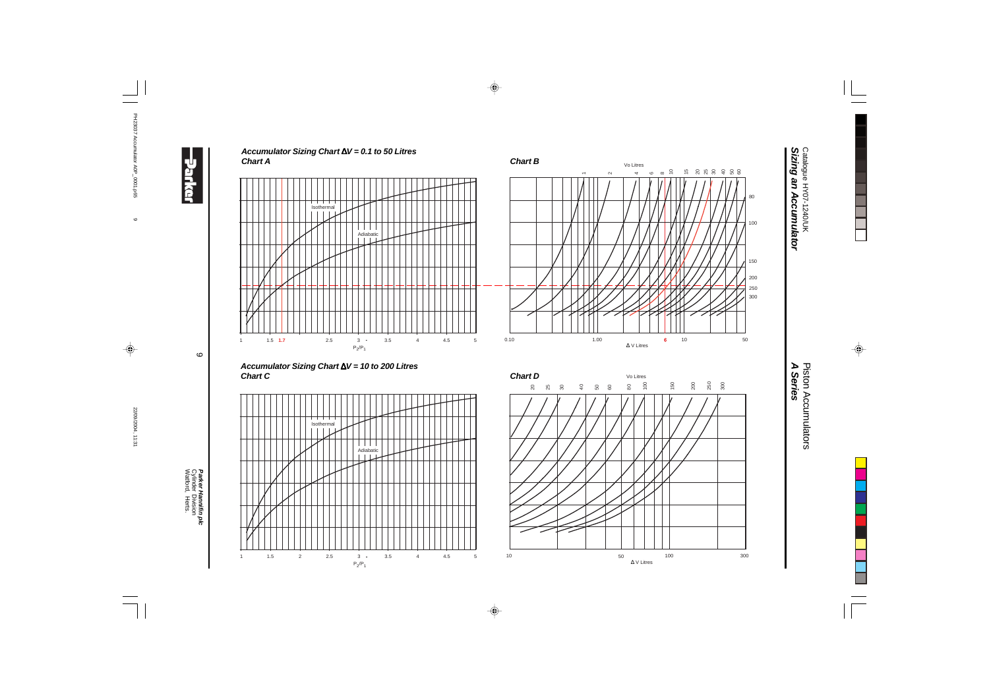$\circ$ 

Watford, Herts. Cylinder Division *Parker Hannifin plc*

**Parker Hannifin plc**<br>Cylinder Division<br>Watford, Herts.









*A Series* **Piston Accumulators** Piston Accumulators

Catalogue HY07-1240/UK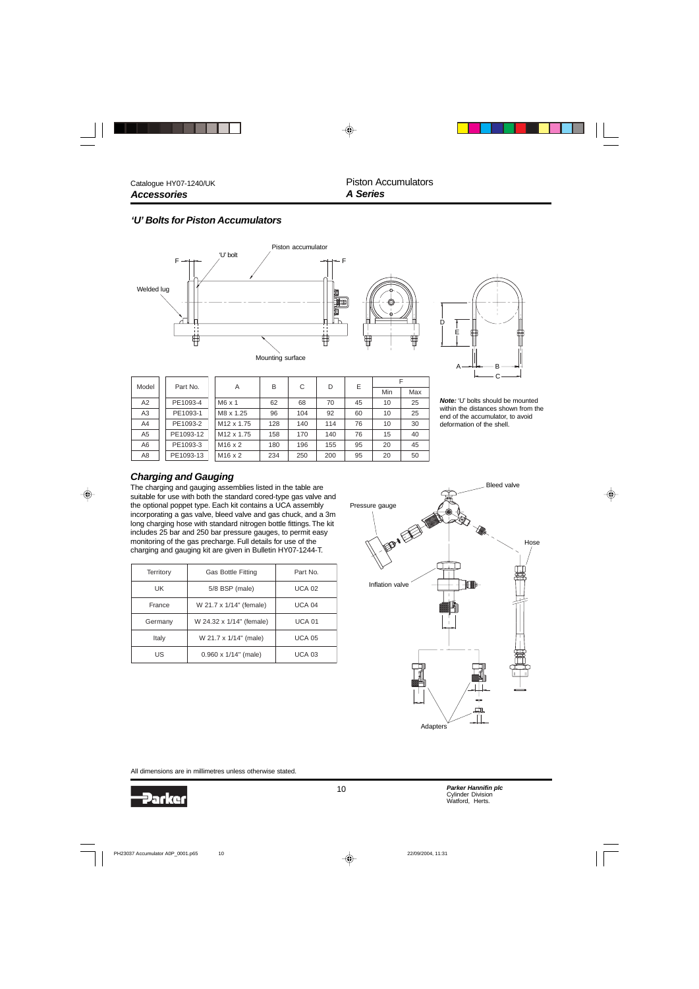F  $Min$  Max

### *'U' Bolts for Piston Accumulators*





*Note:* 'U' bolts should be mounted within the distances shown from the end of the accumulator, to avoid deformation of the shell.

| A2             | PE1093-4  | $M6 \times 1$          | 62  | 68  | 70  | 45 | 10 | 25 |
|----------------|-----------|------------------------|-----|-----|-----|----|----|----|
| A <sub>3</sub> | PE1093-1  | M8 x 1.25              | 96  | 104 | 92  | 60 | 10 | 25 |
| A4             | PE1093-2  | M <sub>12</sub> x 1.75 | 128 | 140 | 114 | 76 | 10 | 30 |
| A <sub>5</sub> | PE1093-12 | M <sub>12</sub> x 1.75 | 158 | 170 | 140 | 76 | 15 | 40 |
| A6             | PE1093-3  | $M16 \times 2$         | 180 | 196 | 155 | 95 | 20 | 45 |
| A8             | PE1093-13 | $M16 \times 2$         | 234 | 250 | 200 | 95 | 20 | 50 |
|                |           |                        |     |     |     |    |    |    |

A | B | C | D | E

### *Charging and Gauging*

Part No.

Model

The charging and gauging assemblies listed in the table are suitable for use with both the standard cored-type gas valve and the optional poppet type. Each kit contains a UCA assembly incorporating a gas valve, bleed valve and gas chuck, and a 3m long charging hose with standard nitrogen bottle fittings. The kit includes 25 bar and 250 bar pressure gauges, to permit easy monitoring of the gas precharge. Full details for use of the charging and gauging kit are given in Bulletin HY07-1244-T.

| Territory | Part No.                     |               |
|-----------|------------------------------|---------------|
| UK        | 5/8 BSP (male)               | <b>UCA 02</b> |
| France    | W 21.7 x 1/14" (female)      | <b>UCA 04</b> |
| Germany   | W 24.32 x 1/14" (female)     | <b>UCA 01</b> |
| Italy     | W 21.7 x 1/14" (male)        | <b>UCA 05</b> |
| US        | $0.960 \times 1/14$ " (male) | <b>UCA 03</b> |



All dimensions are in millimetres unless otherwise stated.

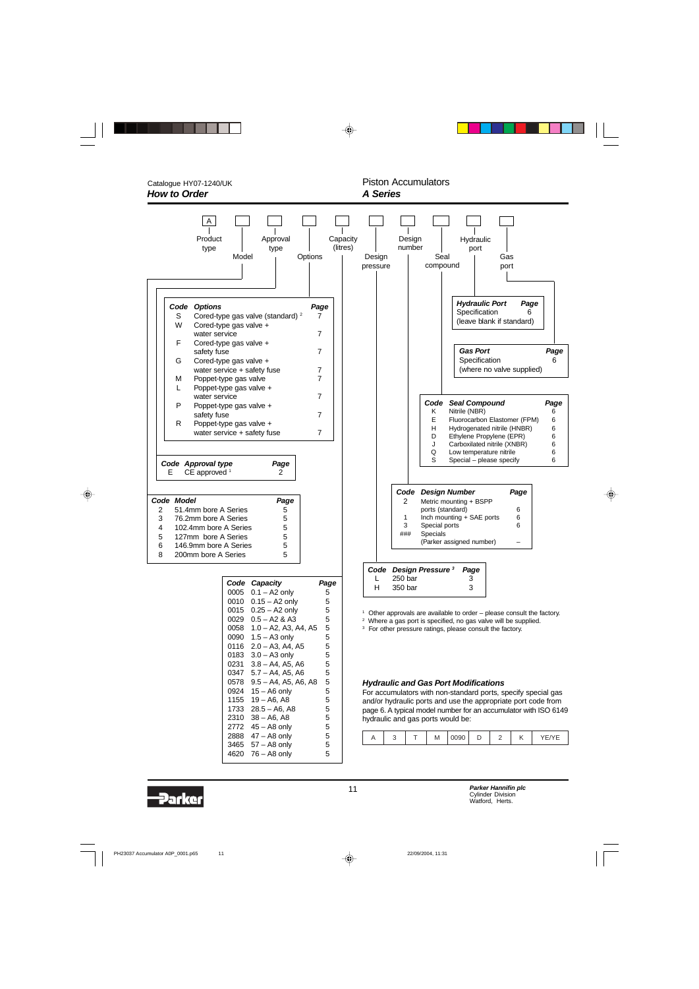